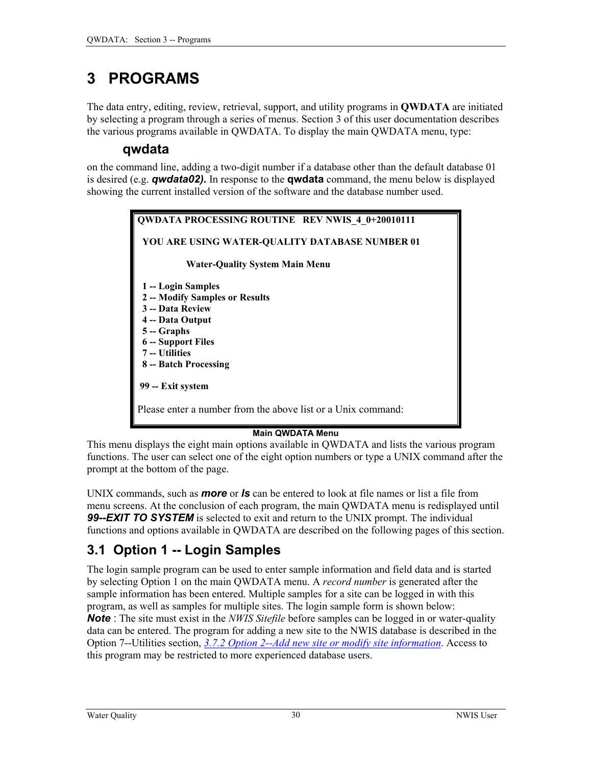# <span id="page-0-0"></span>**3 PROGRAMS**

The data entry, editing, review, retrieval, support, and utility programs in **QWDATA** are initiated by selecting a program through a series of menus. Section 3 of this user documentation describes the various programs available in QWDATA. To display the main QWDATA menu, type:

## **qwdata**

on the command line, adding a two-digit number if a database other than the default database 01 is desired (e.g. *qwdata02).* In response to the **qwdata** command, the menu below is displayed showing the current installed version of the software and the database number used.

> **QWDATA PROCESSING ROUTINE REV NWIS\_4\_0+20010111 YOU ARE USING WATER-QUALITY DATABASE NUMBER 01 Water-Quality System Main Menu 1 -- Login Samples 2 -- Modify Samples or Results 3 -- Data Review 4 -- Data Output 5 -- Graphs 6 -- Support Files 7 -- Utilities 8 -- Batch Processing 99 -- Exit system**  Please enter a number from the above list or a Unix command:

#### **Main QWDATA Menu**

This menu displays the eight main options available in QWDATA and lists the various program functions. The user can select one of the eight option numbers or type a UNIX command after the prompt at the bottom of the page.

UNIX commands, such as *more* or *ls* can be entered to look at file names or list a file from menu screens. At the conclusion of each program, the main QWDATA menu is redisplayed until *99--EXIT TO SYSTEM* is selected to exit and return to the UNIX prompt. The individual functions and options available in QWDATA are described on the following pages of this section.

# **3.1 Option 1 -- Login Samples**

The login sample program can be used to enter sample information and field data and is started by selecting Option 1 on the main QWDATA menu. A *record number* is generated after the sample information has been entered. Multiple samples for a site can be logged in with this program, as well as samples for multiple sites. The login sample form is shown below: *Note* : The site must exist in the *NWIS Sitefile* before samples can be logged in or water-quality data can be entered. The program for adding a new site to the NWIS database is described in the Option 7--Utilities section, *3.7.2 Option 2--Add new site or modify site information*. Access to this program may be restricted to more experienced database users.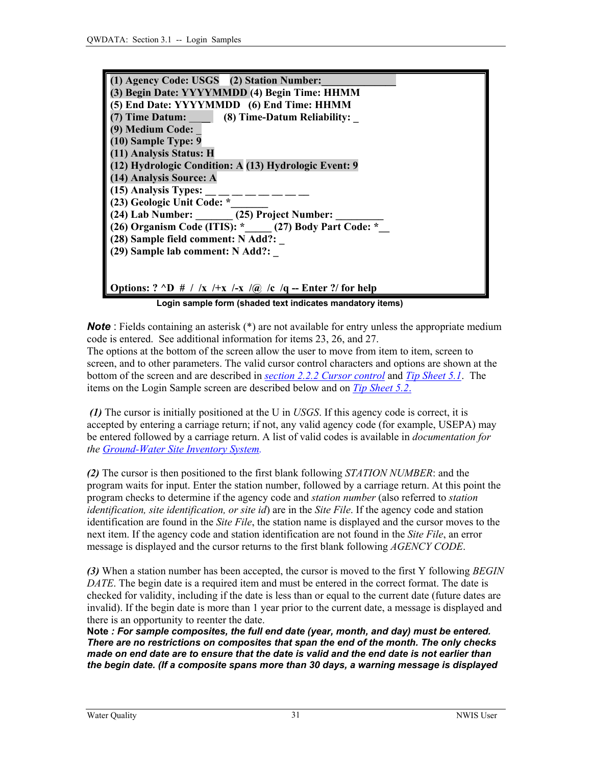<span id="page-1-0"></span>

| (1) Agency Code: USGS (2) Station Number:                                                |
|------------------------------------------------------------------------------------------|
|                                                                                          |
| (3) Begin Date: YYYYMMDD (4) Begin Time: HHMM                                            |
| (5) End Date: YYYYMMDD (6) End Time: HHMM                                                |
| (7) Time Datum: (8) Time-Datum Reliability:                                              |
| (9) Medium Code:                                                                         |
| (10) Sample Type: 9                                                                      |
| (11) Analysis Status: H                                                                  |
| (12) Hydrologic Condition: A (13) Hydrologic Event: 9                                    |
| (14) Analysis Source: A                                                                  |
| (15) Analysis Types:                                                                     |
| (23) Geologic Unit Code: *                                                               |
| (24) Lab Number: ______ (25) Project Number: ____                                        |
| (26) Organism Code (ITIS): * (27) Body Part Code: *                                      |
| (28) Sample field comment: N Add?:                                                       |
| (29) Sample lab comment: N Add?:                                                         |
|                                                                                          |
|                                                                                          |
| Options: $? \triangleleft D \# / /x \rightarrow +x / \sqrt{a} /c /q$ - Enter ?/ for help |
| Login sample form (shaded text indicates mandatory items)                                |

**Note**: Fields containing an asterisk (\*) are not available for entry unless the appropriate medium code is entered. See additional information for items 23, 26, and 27. The options at the bottom of the screen allow the user to move from item to item, screen to screen, and to other parameters. The valid cursor control characters and options are shown at the bottom of the screen and are described in *[section 2.2.2 Cursor control](#page-2-0)* and *[Tip Sheet](#page-0-0) 5.1*. The items on the Login Sample screen are described below and on *[Tip Sheet](#page-0-0) 5.2*.

*(1)* The cursor is initially positioned at the U in *USGS*. If this agency code is correct, it is accepted by entering a carriage return; if not, any valid agency code (for example, USEPA) may be entered followed by a carriage return. A list of valid codes is available in *documentation for the [Ground-Water Site Inventory System.](http://wwwnwis.er.usgs.gov/nwisdocs4_3/gw/GW.user.book.html)* 

*(2)* The cursor is then positioned to the first blank following *STATION NUMBER*: and the program waits for input. Enter the station number, followed by a carriage return. At this point the program checks to determine if the agency code and *station number* (also referred to *station identification, site identification, or site id*) are in the *Site File*. If the agency code and station identification are found in the *Site File*, the station name is displayed and the cursor moves to the next item. If the agency code and station identification are not found in the *Site File*, an error message is displayed and the cursor returns to the first blank following *AGENCY CODE*.

*(3)* When a station number has been accepted, the cursor is moved to the first Y following *BEGIN DATE*. The begin date is a required item and must be entered in the correct format. The date is checked for validity, including if the date is less than or equal to the current date (future dates are invalid). If the begin date is more than 1 year prior to the current date, a message is displayed and there is an opportunity to reenter the date.

**Note** *: For sample composites, the full end date (year, month, and day) must be entered. There are no restrictions on composites that span the end of the month. The only checks made on end date are to ensure that the date is valid and the end date is not earlier than the begin date. (If a composite spans more than 30 days, a warning message is displayed*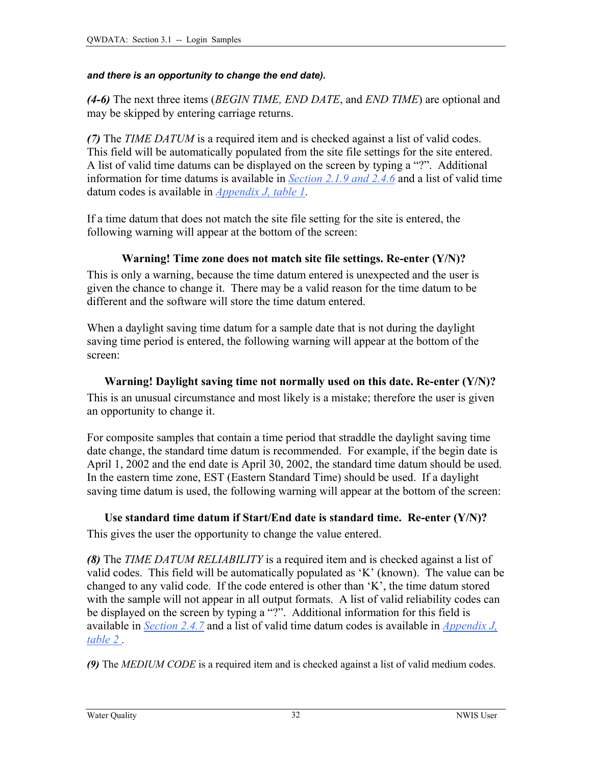#### <span id="page-2-0"></span>*and there is an opportunity to change the end date).*

*(4-6)* The next three items (*BEGIN TIME, END DATE*, and *END TIME*) are optional and may be skipped by entering carriage returns.

*(7)* The *TIME DATUM* is a required item and is checked against a list of valid codes. This field will be automatically populated from the site file settings for the site entered. A list of valid time datums can be displayed on the screen by typing a "?". Additional information for time datums is available in *[Section 2.1.9 a](#page-1-0)[nd 2.4.6](#page-5-0)* and a list of valid time datum codes is available in *[Appendix J, table 1.](#page-0-0)* 

If a time datum that does not match the site file setting for the site is entered, the following warning will appear at the bottom of the screen:

#### **Warning! Time zone does not match site file settings. Re-enter (Y/N)?**

This is only a warning, because the time datum entered is unexpected and the user is given the chance to change it. There may be a valid reason for the time datum to be different and the software will store the time datum entered.

When a daylight saving time datum for a sample date that is not during the daylight saving time period is entered, the following warning will appear at the bottom of the screen:

#### **Warning! Daylight saving time not normally used on this date. Re-enter (Y/N)?**

This is an unusual circumstance and most likely is a mistake; therefore the user is given an opportunity to change it.

For composite samples that contain a time period that straddle the daylight saving time date change, the standard time datum is recommended. For example, if the begin date is April 1, 2002 and the end date is April 30, 2002, the standard time datum should be used. In the eastern time zone, EST (Eastern Standard Time) should be used. If a daylight saving time datum is used, the following warning will appear at the bottom of the screen:

**Use standard time datum if Start/End date is standard time. Re-enter (Y/N)?**  This gives the user the opportunity to change the value entered.

*(8)* The *TIME DATUM RELIABILITY* is a required item and is checked against a list of valid codes. This field will be automatically populated as 'K' (known). The value can be changed to any valid code. If the code entered is other than 'K', the time datum stored with the sample will not appear in all output formats. A list of valid reliability codes can be displayed on the screen by typing a "?". Additional information for this field is available in *[Section 2.4.7](#page-5-0)* and a list of valid time datum codes is available in *Appendix J, table 2 .*

*(9)* The *MEDIUM CODE* is a required item and is checked against a list of valid medium codes.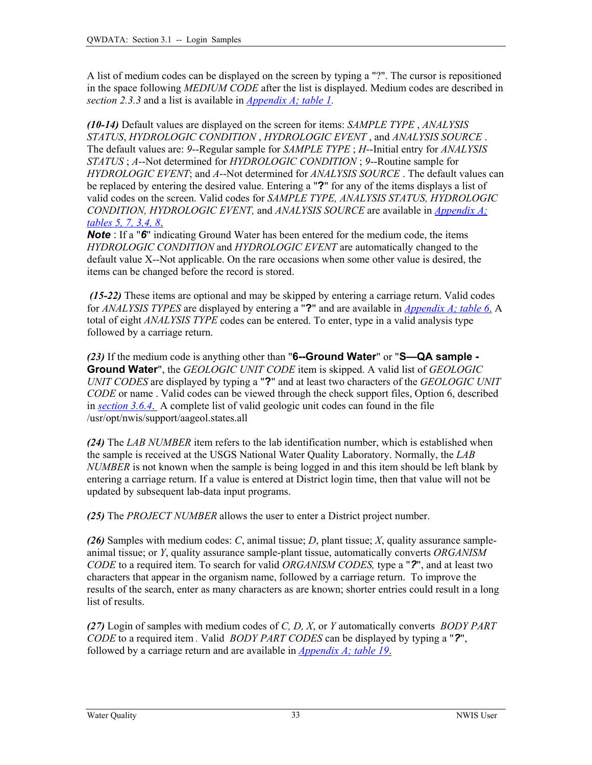A list of medium codes can be displayed on the screen by typing a "?". The cursor is repositioned in the space following *MEDIUM CODE* after the list is displayed. Medium codes are described in *section 2.3.3* and a list is available in *[Appendix A; table 1.](#page-1-0)*

*(10-14)* Default values are displayed on the screen for items: *SAMPLE TYPE* , *ANALYSIS STATUS*, *HYDROLOGIC CONDITION* , *HYDROLOGIC EVENT* , and *ANALYSIS SOURCE* . The default values are: *9*--Regular sample for *SAMPLE TYPE* ; *H*--Initial entry for *ANALYSIS STATUS* ; *A*--Not determined for *HYDROLOGIC CONDITION* ; *9*--Routine sample for *HYDROLOGIC EVENT*; and *A*--Not determined for *ANALYSIS SOURCE* . The default values can be replaced by entering the desired value. Entering a "**?**" for any of the items displays a list of valid codes on the screen. Valid codes for *SAMPLE TYPE, ANALYSIS STATUS, HYDROLOGIC CONDITION, HYDROLOGIC EVENT,* and *ANALYSIS SOURCE* are available in *[Appendix A;](#page-6-0)  [tables 5, 7, 3,4, 8](#page-6-0)*.

*Note*: If a "6" indicating Ground Water has been entered for the medium code, the items *HYDROLOGIC CONDITION* and *HYDROLOGIC EVENT* are automatically changed to the default value X--Not applicable. On the rare occasions when some other value is desired, the items can be changed before the record is stored.

*(15-22)* These items are optional and may be skipped by entering a carriage return. Valid codes for *ANALYSIS TYPES* are displayed by entering a "**?**" and are available in *[Appendix A; table 6](#page-6-0)*. A total of eight *ANALYSIS TYPE* codes can be entered. To enter, type in a valid analysis type followed by a carriage return.

*(23)* If the medium code is anything other than "**6--Ground Water**" or "**S—QA sample - Ground Water**", the *GEOLOGIC UNIT CODE* item is skipped. A valid list of *GEOLOGIC UNIT CODES* are displayed by typing a "**?**" and at least two characters of the *GEOLOGIC UNIT CODE* or name . Valid codes can be viewed through the check support files, Option 6, described in *[section 3.6.4](#page-2-0)*. A complete list of valid geologic unit codes can found in the file /usr/opt/nwis/support/aageol.states.all

*(24)* The *LAB NUMBER* item refers to the lab identification number, which is established when the sample is received at the USGS National Water Quality Laboratory. Normally, the *LAB NUMBER* is not known when the sample is being logged in and this item should be left blank by entering a carriage return. If a value is entered at District login time, then that value will not be updated by subsequent lab-data input programs.

*(25)* The *PROJECT NUMBER* allows the user to enter a District project number.

*(26)* Samples with medium codes: *C*, animal tissue; *D*, plant tissue; *X*, quality assurance sampleanimal tissue; or *Y*, quality assurance sample-plant tissue, automatically converts *ORGANISM CODE* to a required item. To search for valid *ORGANISM CODES,* type a "*?*", and at least two characters that appear in the organism name, followed by a carriage return. To improve the results of the search, enter as many characters as are known; shorter entries could result in a long list of results.

*(27)* Login of samples with medium codes of *C, D, X*, or *Y* automatically converts *BODY PART CODE* to a required item *.* Valid *BODY PART CODES* can be displayed by typing a "*?*", followed by a carriage return and are available in *[Appendix A; table 19](#page-20-0)*.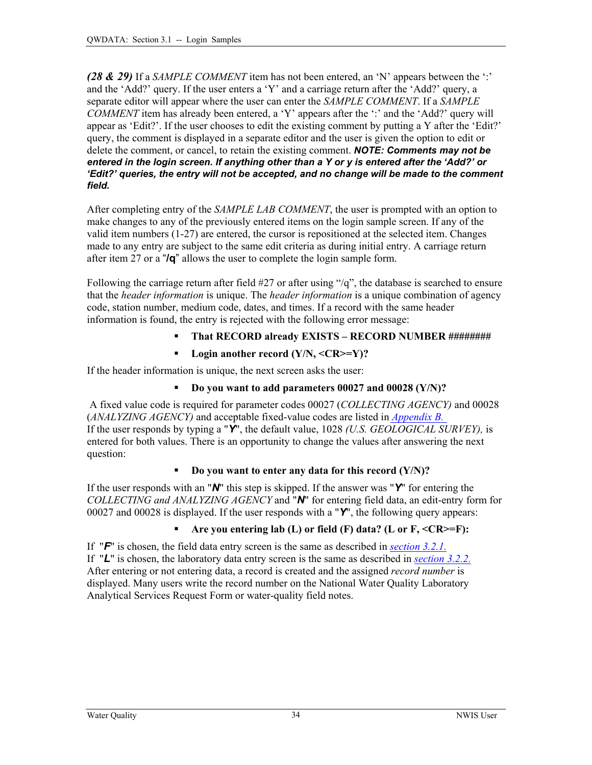<span id="page-4-0"></span>*(28 & 29)* If a *SAMPLE COMMENT* item has not been entered, an 'N' appears between the ':' and the 'Add?' query. If the user enters a 'Y' and a carriage return after the 'Add?' query, a separate editor will appear where the user can enter the *SAMPLE COMMENT*. If a *SAMPLE COMMENT* item has already been entered, a 'Y' appears after the ':' and the 'Add?' query will appear as 'Edit?'. If the user chooses to edit the existing comment by putting a Y after the 'Edit?' query, the comment is displayed in a separate editor and the user is given the option to edit or delete the comment, or cancel, to retain the existing comment. *NOTE: Comments may not be entered in the login screen. If anything other than a Y or y is entered after the 'Add?' or 'Edit?' queries, the entry will not be accepted, and no change will be made to the comment field.* 

After completing entry of the *SAMPLE LAB COMMENT*, the user is prompted with an option to make changes to any of the previously entered items on the login sample screen. If any of the valid item numbers (1-27) are entered, the cursor is repositioned at the selected item. Changes made to any entry are subject to the same edit criteria as during initial entry. A carriage return after item 27 or a "**/q**" allows the user to complete the login sample form.

Following the carriage return after field #27 or after using "/q", the database is searched to ensure that the *header information* is unique. The *header information* is a unique combination of agency code, station number, medium code, dates, and times. If a record with the same header information is found, the entry is rejected with the following error message:

- **That RECORD already EXISTS RECORD NUMBER ########**
- Login another record (Y/N, <CR>=Y)?

If the header information is unique, the next screen asks the user:

## **Do you want to add parameters 00027 and 00028 (Y/N)?**

 A fixed value code is required for parameter codes 00027 (*COLLECTING AGENCY)* and 00028 (*ANALYZING AGENCY)* and acceptable fixed-value codes are listed in *[Appendix B](#page-0-0).* If the user responds by typing a "*Y*", the default value, 1028 *(U.S. GEOLOGICAL SURVEY),* is entered for both values. There is an opportunity to change the values after answering the next question:

#### **Do you want to enter any data for this record (Y/N)?**

If the user responds with an "*N*" this step is skipped. If the answer was "*Y*" for entering the *COLLECTING and ANALYZING AGENCY* and "*N*" for entering field data, an edit-entry form for 00027 and 00028 is displayed. If the user responds with a "*Y*", the following query appears:

## **Are you entering lab (L) or field (F) data? (L or F, <CR>=F):**

If "*F*" is chosen, the field data entry screen is the same as described in *[section 3.2.1.](#page-6-0)* If "*L*" is chosen, the laboratory data entry screen is the same as described in *[section 3.2.2.](#page-9-0)*  After entering or not entering data, a record is created and the assigned *record number* is displayed. Many users write the record number on the National Water Quality Laboratory Analytical Services Request Form or water-quality field notes.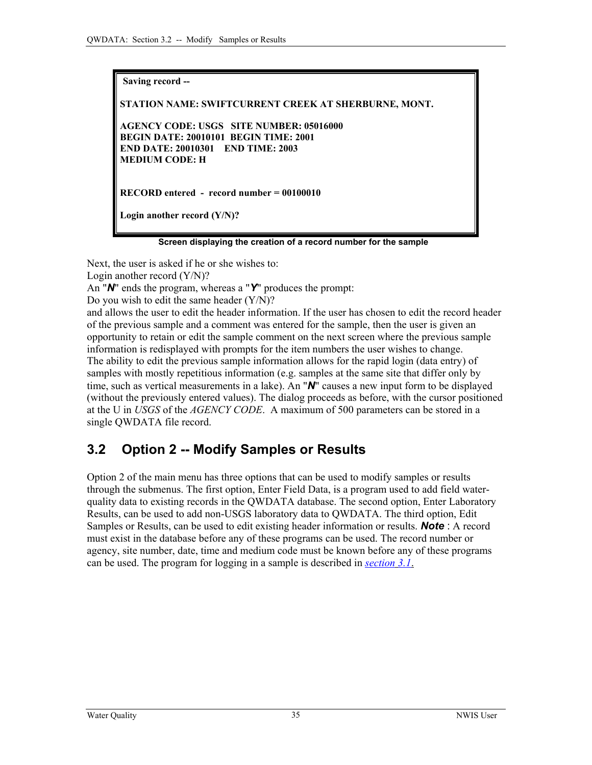<span id="page-5-0"></span>**Saving record -- STATION NAME: SWIFTCURRENT CREEK AT SHERBURNE, MONT. AGENCY CODE: USGS SITE NUMBER: 05016000 BEGIN DATE: 20010101 BEGIN TIME: 2001 END DATE: 20010301 END TIME: 2003 MEDIUM CODE: H RECORD entered - record number = 00100010 Login another record (Y/N)?** 

 **Screen displaying the creation of a record number for the sample** 

Next, the user is asked if he or she wishes to: Login another record (Y/N)? An "*N*" ends the program, whereas a "*Y*" produces the prompt: Do you wish to edit the same header  $(Y/N)$ ? and allows the user to edit the header information. If the user has chosen to edit the record header of the previous sample and a comment was entered for the sample, then the user is given an opportunity to retain or edit the sample comment on the next screen where the previous sample information is redisplayed with prompts for the item numbers the user wishes to change. The ability to edit the previous sample information allows for the rapid login (data entry) of samples with mostly repetitious information (e.g. samples at the same site that differ only by time, such as vertical measurements in a lake). An "*N*" causes a new input form to be displayed (without the previously entered values). The dialog proceeds as before, with the cursor positioned at the U in *USGS* of the *AGENCY CODE*. A maximum of 500 parameters can be stored in a single QWDATA file record.

# **3.2 Option 2 -- Modify Samples or Results**

Option 2 of the main menu has three options that can be used to modify samples or results through the submenus. The first option, Enter Field Data, is a program used to add field waterquality data to existing records in the QWDATA database. The second option, Enter Laboratory Results, can be used to add non-USGS laboratory data to QWDATA. The third option, Edit Samples or Results, can be used to edit existing header information or results. *Note* : A record must exist in the database before any of these programs can be used. The record number or agency, site number, date, time and medium code must be known before any of these programs can be used. The program for logging in a sample is described in *[section](#page-0-0) 3.1*.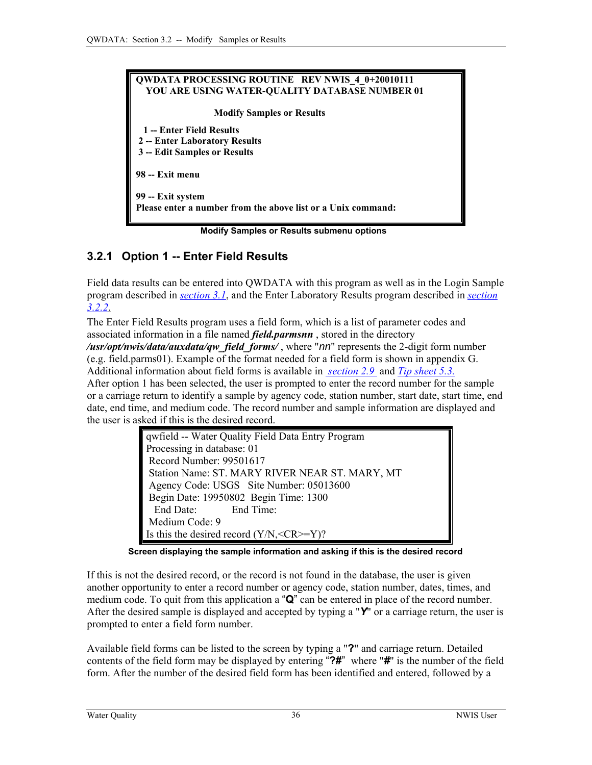<span id="page-6-0"></span>

| <b>QWDATA PROCESSING ROUTINE REV NWIS 4 0+20010111</b>       |
|--------------------------------------------------------------|
| YOU ARE USING WATER-QUALITY DATABASE NUMBER 01               |
| <b>Modify Samples or Results</b>                             |
| 1 -- Enter Field Results                                     |
| 2 -- Enter Laboratory Results                                |
| 3 -- Edit Samples or Results                                 |
| 98 -- Exit menu                                              |
| 99 -- Exit system                                            |
| Please enter a number from the above list or a Unix command: |

 **Modify Samples or Results submenu options**

## **3.2.1 Option 1 -- Enter Field Results**

Field data results can be entered into QWDATA with this program as well as in the Login Sample program described in *[section 3.1](#page-0-0)*, and the Enter Laboratory Results program described in *[section](#page-9-0)  [3.2.2](#page-9-0)*.

The Enter Field Results program uses a field form, which is a list of parameter codes and associated information in a file named *field.parmsnn* , stored in the directory */usr/opt/nwis/data/auxdata/qw\_field\_forms/* , where "*nn*" represents the 2-digit form number (e.g. field.parms01). Example of the format needed for a field form is shown in appendix G.

Additional information about field forms is available in *[section 2.](#page-15-0)9* and *[Tip sheet 5.3.](#page-0-0)* After option 1 has been selected, the user is prompted to enter the record number for the sample or a carriage return to identify a sample by agency code, station number, start date, start time, end date, end time, and medium code. The record number and sample information are displayed and the user is asked if this is the desired record.

| qwfield -- Water Quality Field Data Entry Program |
|---------------------------------------------------|
| Processing in database: 01                        |
| Record Number: 99501617                           |
| Station Name: ST. MARY RIVER NEAR ST. MARY, MT    |
| Agency Code: USGS Site Number: 05013600           |
| Begin Date: 19950802 Begin Time: 1300             |
| End Date: End Time:                               |
| Medium Code: 9                                    |
| Is this the desired record $(Y/N, =Y)$ ?          |

 **Screen displaying the sample information and asking if this is the desired record**

If this is not the desired record, or the record is not found in the database, the user is given another opportunity to enter a record number or agency code, station number, dates, times, and medium code. To quit from this application a "**Q**" can be entered in place of the record number. After the desired sample is displayed and accepted by typing a "Y" or a carriage return, the user is prompted to enter a field form number.

Available field forms can be listed to the screen by typing a "**?**" and carriage return. Detailed contents of the field form may be displayed by entering "**?#**" where "*#*" is the number of the field form. After the number of the desired field form has been identified and entered, followed by a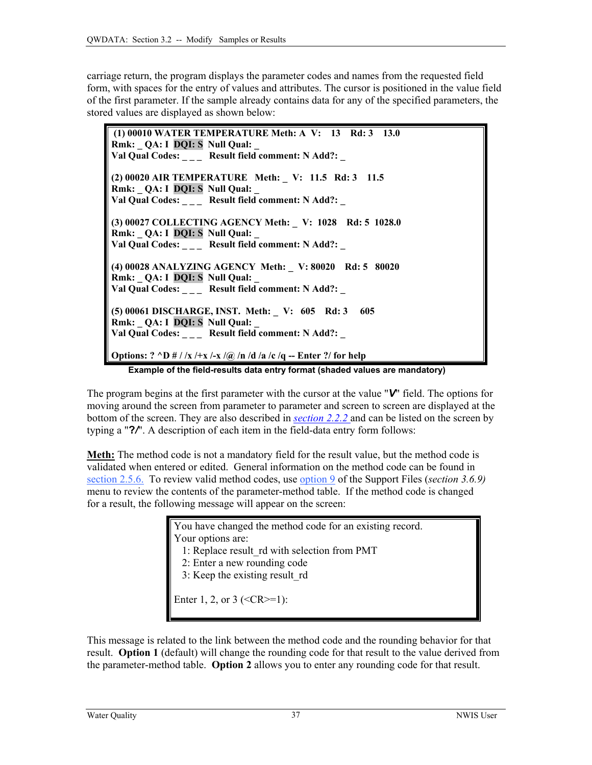carriage return, the program displays the parameter codes and names from the requested field form, with spaces for the entry of values and attributes. The cursor is positioned in the value field of the first parameter. If the sample already contains data for any of the specified parameters, the stored values are displayed as shown below:

 **(1) 00010 WATER TEMPERATURE Meth: A V: 13 Rd: 3 13.0 Rmk: QA: I DQI: S Null Qual:** Val Qual Codes: \_\_\_ Result field comment: N Add?: \_ **(2) 00020 AIR TEMPERATURE Meth: \_ V: 11.5 Rd: 3 11.5 Rmk: \_ QA: I DQI: S Null Qual: \_**  Val Qual Codes: \_\_\_\_ Result field comment: N Add?: \_ **(3) 00027 COLLECTING AGENCY Meth: \_ V: 1028 Rd: 5 1028.0 Rmk: \_ QA: I DQI: S Null Qual: \_**  Val Qual Codes: \_\_\_ Result field comment: N Add?: \_ **(4) 00028 ANALYZING AGENCY Meth: \_ V: 80020 Rd: 5 80020 Rmk:** QA: I DQI: S Null Qual: Val Qual Codes: \_\_\_ Result field comment: N Add?: \_ **(5) 00061 DISCHARGE, INST. Meth: \_ V: 605 Rd: 3 605 Rmk:** QA: I DQI: S Null Qual: Val Qual Codes: **Result field comment: N Add?: Options: ? ^D # / /x /+x /-x /@ /n /d /a /c /q -- Enter ?/ for help**

**Example of the field-results data entry format (shaded values are mandatory)** 

The program begins at the first parameter with the cursor at the value "*V*" field. The options for moving around the screen from parameter to parameter and screen to screen are displayed at the bottom of the screen. They are also described in *[section 2.2.2](#page-2-0)* and can be listed on the screen by typing a "**?***/*". A description of each item in the field-data entry form follows:

**Meth:** The method code is not a mandatory field for the result value, but the method code is validated when entered or edited. General information on the method code can be found in [section 2.5.6.](#page-8-0) To review valid method codes, use [option 9 o](#page-5-0)f the Support Files (*section 3.6.9)* menu to review the contents of the parameter-method table. If the method code is changed for a result, the following message will appear on the screen:

> You have changed the method code for an existing record. Your options are:

- 1: Replace result\_rd with selection from PMT
- 2: Enter a new rounding code
- 3: Keep the existing result\_rd

Enter 1, 2, or 3 ( $\leq$ CR $\geq$ =1):

This message is related to the link between the method code and the rounding behavior for that result. **Option 1** (default) will change the rounding code for that result to the value derived from the parameter-method table. **Option 2** allows you to enter any rounding code for that result.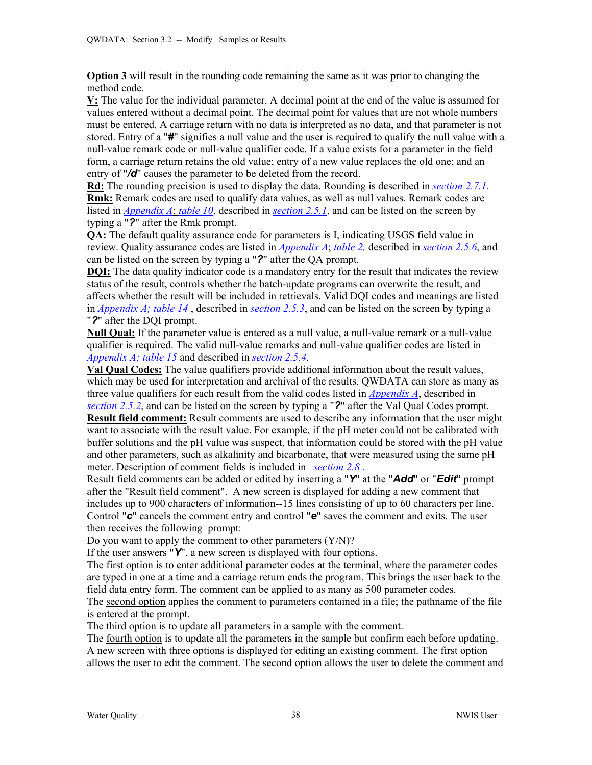<span id="page-8-0"></span>**Option 3** will result in the rounding code remaining the same as it was prior to changing the method code.

**V:** The value for the individual parameter. A decimal point at the end of the value is assumed for values entered without a decimal point. The decimal point for values that are not whole numbers must be entered. A carriage return with no data is interpreted as no data, and that parameter is not stored. Entry of a "*#*" signifies a null value and the user is required to qualify the null value with a null-value remark code or null-value qualifier code. If a value exists for a parameter in the field form, a carriage return retains the old value; entry of a new value replaces the old one; and an entry of "*/d*" causes the parameter to be deleted from the record.

**Rd:** The rounding precision is used to display the data. Rounding is described in *[section 2.7.1](#page-11-0)*. **Rmk:** Remark codes are used to qualify data values, as well as null values. Remark codes are listed in *Appendix A*; *table 10*, described in *section 2.5.1*, and can be listed on the screen by typing a "*?*" after the Rmk prompt.

**QA:** The default quality assurance code for parameters is I, indicating USGS field value in review. Quality assurance codes are listed in *[Appendix A](#page-4-0)*; *table 2,* described in *section 2.5.6*, and can be listed on the screen by typing a "*?*" after the QA prompt.

**DQI:** The data quality indicator code is a mandatory entry for the result that indicates the review status of the result, controls whether the batch-update programs can overwrite the result, and affects whether the result will be included in retrievals. Valid DQI codes and meanings are listed in *[Appendix A; table 14](#page-13-0)* , described in *section 2.5.3*, and can be listed on the screen by typing a "*?*" after the DQI prompt.

**Null Qual:** If the parameter value is entered as a null value, a null-value remark or a null-value qualifier is required. The valid null-value remarks and null-value qualifier codes are listed in *[Appendix A; table 15](#page-13-0)* and described in *section 2.5.4*.

**Val Qual Codes:** The value qualifiers provide additional information about the result values, which may be used for interpretation and archival of the results. QWDATA can store as many as three value qualifiers for each result from the valid codes listed in *[Appendix A](#page-14-0)*, described in *section 2.5.2*, and can be listed on the screen by typing a "*?*" after the Val Qual Codes prompt.

**Result field comment:** Result comments are used to describe any information that the user might want to associate with the result value. For example, if the pH meter could not be calibrated with buffer solutions and the pH value was suspect, that information could be stored with the pH value and other parameters, such as alkalinity and bicarbonate, that were measured using the same pH meter. Description of comment fields is included in *[section 2.8](#page-14-0)* .

Result field comments can be added or edited by inserting a "*Y*" at the "*Add*" or "*Edit*" prompt after the "Result field comment". A new screen is displayed for adding a new comment that includes up to 900 characters of information--15 lines consisting of up to 60 characters per line. Control "*c*" cancels the comment entry and control "*e*" saves the comment and exits. The user then receives the following prompt:

Do you want to apply the comment to other parameters  $(Y/N)$ ?

If the user answers "*Y*", a new screen is displayed with four options.

The first option is to enter additional parameter codes at the terminal, where the parameter codes are typed in one at a time and a carriage return ends the program. This brings the user back to the field data entry form. The comment can be applied to as many as 500 parameter codes.

The second option applies the comment to parameters contained in a file; the pathname of the file is entered at the prompt.

The third option is to update all parameters in a sample with the comment.

The fourth option is to update all the parameters in the sample but confirm each before updating. A new screen with three options is displayed for editing an existing comment. The first option allows the user to edit the comment. The second option allows the user to delete the comment and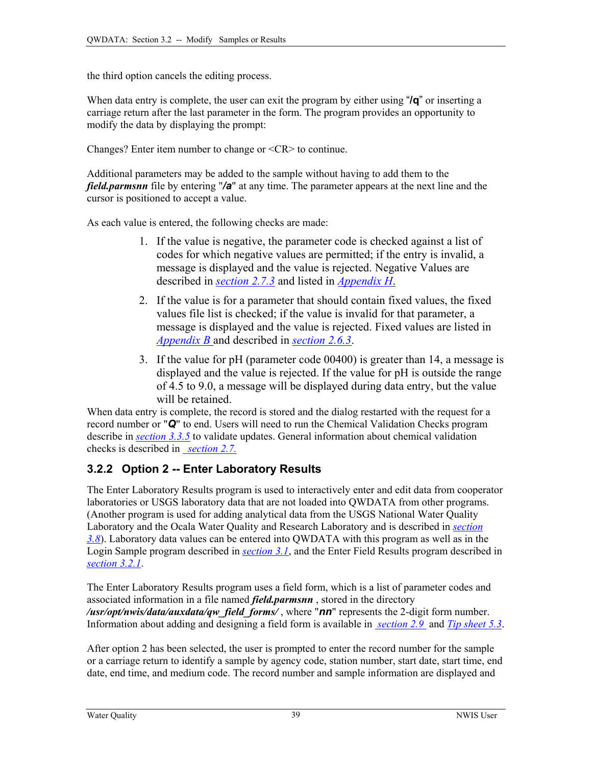<span id="page-9-0"></span>the third option cancels the editing process.

When data entry is complete, the user can exit the program by either using "**/q**" or inserting a carriage return after the last parameter in the form. The program provides an opportunity to modify the data by displaying the prompt:

Changes? Enter item number to change or <CR> to continue.

Additional parameters may be added to the sample without having to add them to the *field.parmsnn* file by entering "*/a*" at any time. The parameter appears at the next line and the cursor is positioned to accept a value.

As each value is entered, the following checks are made:

- 1. If the value is negative, the parameter code is checked against a list of codes for which negative values are permitted; if the entry is invalid, a message is displayed and the value is rejected. Negative Values are described in *[section 2.7.3](#page-13-0)* and listed in *[Appendix H](#page-0-0)*.
- 2. If the value is for a parameter that should contain fixed values, the fixed values file list is checked; if the value is invalid for that parameter, a message is displayed and the value is rejected. Fixed values are listed in *[Appendix B](#page-0-0)* and described in *[section 2.](#page-10-0)6.3*.
- 3. If the value for pH (parameter code 00400) is greater than 14, a message is displayed and the value is rejected. If the value for pH is outside the range of 4.5 to 9.0, a message will be displayed during data entry, but the value will be retained.

When data entry is complete, the record is stored and the dialog restarted with the request for a record number or "*Q*" to end. Users will need to run the Chemical Validation Checks program describe in *[section 3.3.5](#page-17-0)* to validate updates. General information about chemical validation checks is described in *[section 2.](#page-12-0)7.*

## **3.2.2 Option 2 -- Enter Laboratory Results**

The Enter Laboratory Results program is used to interactively enter and edit data from cooperator laboratories or USGS laboratory data that are not loaded into QWDATA from other programs. (Another program is used for adding analytical data from the USGS National Water Quality Laboratory and the Ocala Water Quality and Research Laboratory and is described in *[section](#page-0-0) [3.8](#page-0-0)*). Laboratory data values can be entered into QWDATA with this program as well as in the Login Sample program described in *[section 3.1](#page-0-0)*, and the Enter Field Results program described in *[section 3.2.1](#page-6-0)*.

The Enter Laboratory Results program uses a field form, which is a list of parameter codes and associated information in a file named *field.parmsnn* , stored in the directory */usr/opt/nwis/data/auxdata/qw\_field\_forms/* , where "*nn*" represents the 2-digit form number. Information about adding and designing a field form is available in *[section 2.](#page-15-0)9* and *[Tip sheet 5.3](#page-0-0)*.

After option 2 has been selected, the user is prompted to enter the record number for the sample or a carriage return to identify a sample by agency code, station number, start date, start time, end date, end time, and medium code. The record number and sample information are displayed and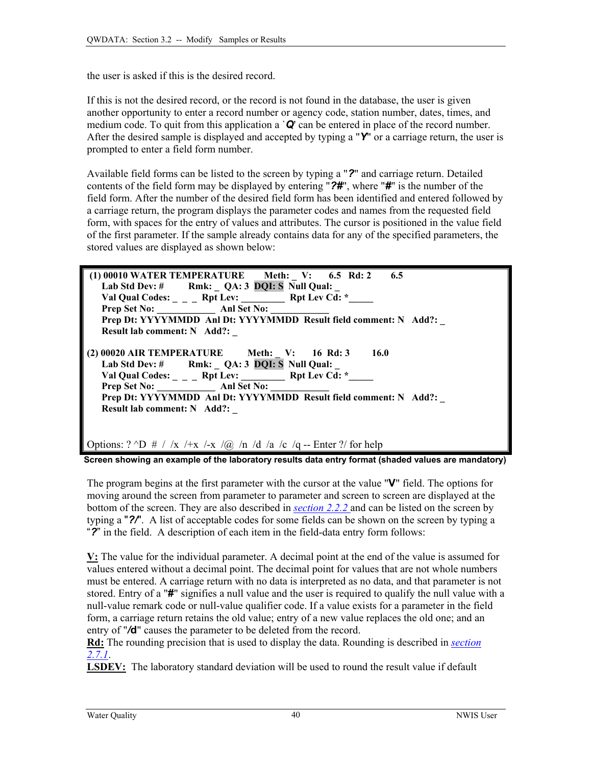<span id="page-10-0"></span>the user is asked if this is the desired record.

If this is not the desired record, or the record is not found in the database, the user is given another opportunity to enter a record number or agency code, station number, dates, times, and medium code. To quit from this application a `*Q*' can be entered in place of the record number. After the desired sample is displayed and accepted by typing a "Y" or a carriage return, the user is prompted to enter a field form number.

Available field forms can be listed to the screen by typing a "*?*" and carriage return. Detailed contents of the field form may be displayed by entering "*?#*", where "*#*" is the number of the field form. After the number of the desired field form has been identified and entered followed by a carriage return, the program displays the parameter codes and names from the requested field form, with spaces for the entry of values and attributes. The cursor is positioned in the value field of the first parameter. If the sample already contains data for any of the specified parameters, the stored values are displayed as shown below:



 **Screen showing an example of the laboratory results data entry format (shaded values are mandatory)** 

The program begins at the first parameter with the cursor at the value "**V**" field. The options for moving around the screen from parameter to parameter and screen to screen are displayed at the bottom of the screen. They are also described in *[section 2.2.2](#page-2-0)* and can be listed on the screen by typing a "*?/*". A list of acceptable codes for some fields can be shown on the screen by typing a "*?*" in the field. A description of each item in the field-data entry form follows:

**V:** The value for the individual parameter. A decimal point at the end of the value is assumed for values entered without a decimal point. The decimal point for values that are not whole numbers must be entered. A carriage return with no data is interpreted as no data, and that parameter is not stored. Entry of a "**#**" signifies a null value and the user is required to qualify the null value with a null-value remark code or null-value qualifier code. If a value exists for a parameter in the field form, a carriage return retains the old value; entry of a new value replaces the old one; and an entry of "*/***d**" causes the parameter to be deleted from the record.

**Rd:** The rounding precision that is used to display the data. Rounding is described in *[section](#page-11-0)  [2.7.1](#page-11-0)*.

**LSDEV:** The laboratory standard deviation will be used to round the result value if default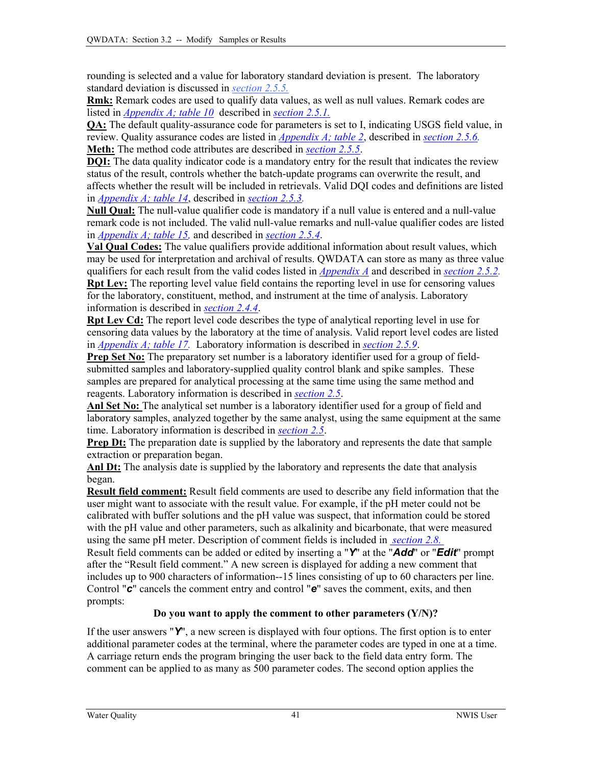<span id="page-11-0"></span>rounding is selected and a value for laboratory standard deviation is present. The laboratory standard deviation is discussed in *[section 2.5.5.](#page-8-0)*

**Rmk:** Remark codes are used to qualify data values, as well as null values. Remark codes are listed in *[Appendix A; table 10](#page-8-0)* described in *[section 2.5.1.](#page-8-0)*

**QA:** The default quality-assurance code for parameters is set to I, indicating USGS field value, in review. Quality assurance codes are listed in *[Appendix A; table 2](#page-4-0)*, described in *[section 2.5.6.](#page-8-0)* **Meth:** The method code attributes are described in *[section 2.5.5](#page-8-0)*.

**DQI:** The data quality indicator code is a mandatory entry for the result that indicates the review status of the result, controls whether the batch-update programs can overwrite the result, and affects whether the result will be included in retrievals. Valid DQI codes and definitions are listed in *[Appendix A; table 14](#page-13-0)*, described in *[section 2.5.3.](#page-8-0)* 

**Null Qual:** The null-value qualifier code is mandatory if a null value is entered and a null-value remark code is not included. The valid null-value remarks and null-value qualifier codes are listed in *[Appendix A; table 15,](#page-13-0)* and described in *[section 2.5.4](#page-8-0)*.

**Val Qual Codes:** The value qualifiers provide additional information about result values, which may be used for interpretation and archival of results. QWDATA can store as many as three value qualifiers for each result from the valid codes listed in *[Appendix A](#page-0-0)* and described in *[section 2.5.2.](#page-8-0)* **Rpt Lev:** The reporting level value field contains the reporting level in use for censoring values for the laboratory, constituent, method, and instrument at the time of analysis. Laboratory

information is described in *[section 2.4.4](#page-5-0)*.

**Rpt Lev Cd:** The report level code describes the type of analytical reporting level in use for censoring data values by the laboratory at the time of analysis. Valid report level codes are listed in *[Appendix A; table 17.](#page-16-0)* Laboratory information is described in *[section 2.5.9](#page-9-0)*.

**Prep Set No:** The preparatory set number is a laboratory identifier used for a group of fieldsubmitted samples and laboratory-supplied quality control blank and spike samples. These samples are prepared for analytical processing at the same time using the same method and reagents. Laboratory information is described in *[section 2.5](#page-8-0)*.

**Anl Set No:** The analytical set number is a laboratory identifier used for a group of field and laboratory samples, analyzed together by the same analyst, using the same equipment at the same time. Laboratory information is described in *[section 2.5](#page-8-0)*.

**Prep Dt:** The preparation date is supplied by the laboratory and represents the date that sample extraction or preparation began.

Anl Dt: The analysis date is supplied by the laboratory and represents the date that analysis began.

**Result field comment:** Result field comments are used to describe any field information that the user might want to associate with the result value. For example, if the pH meter could not be calibrated with buffer solutions and the pH value was suspect, that information could be stored with the pH value and other parameters, such as alkalinity and bicarbonate, that were measured using the same pH meter. Description of comment fields is included in *[section 2.8.](#page-14-0)*

Result field comments can be added or edited by inserting a "*Y*" at the "*Add*" or "*Edit*" prompt after the "Result field comment." A new screen is displayed for adding a new comment that includes up to 900 characters of information--15 lines consisting of up to 60 characters per line. Control "*c*" cancels the comment entry and control "*e*" saves the comment, exits, and then prompts:

#### **Do you want to apply the comment to other parameters (Y/N)?**

If the user answers "*Y*", a new screen is displayed with four options. The first option is to enter additional parameter codes at the terminal, where the parameter codes are typed in one at a time. A carriage return ends the program bringing the user back to the field data entry form. The comment can be applied to as many as 500 parameter codes. The second option applies the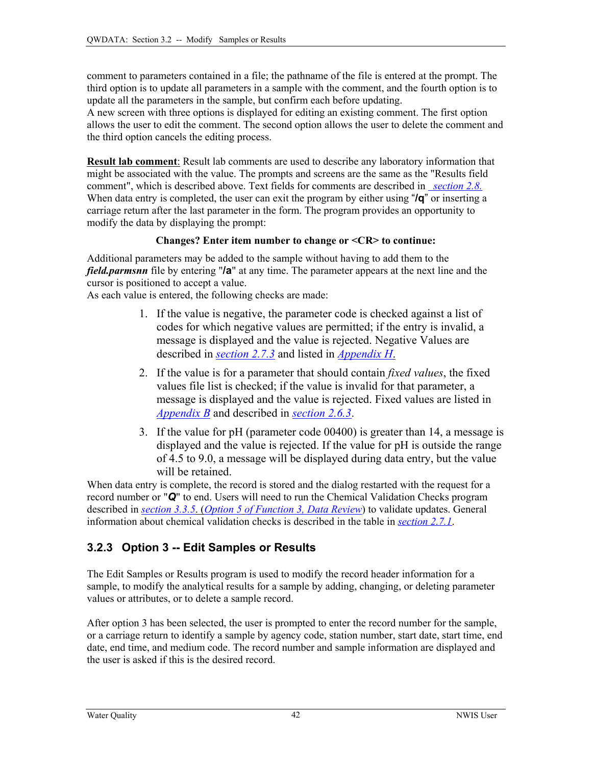<span id="page-12-0"></span>comment to parameters contained in a file; the pathname of the file is entered at the prompt. The third option is to update all parameters in a sample with the comment, and the fourth option is to update all the parameters in the sample, but confirm each before updating.

A new screen with three options is displayed for editing an existing comment. The first option allows the user to edit the comment. The second option allows the user to delete the comment and the third option cancels the editing process.

**Result lab comment**: Result lab comments are used to describe any laboratory information that might be associated with the value. The prompts and screens are the same as the "Results field comment", which is described above. Text fields for comments are described in *[section 2.8.](#page-14-0)* When data entry is completed, the user can exit the program by either using "**/q**" or inserting a carriage return after the last parameter in the form. The program provides an opportunity to modify the data by displaying the prompt:

#### **Changes? Enter item number to change or <CR> to continue:**

Additional parameters may be added to the sample without having to add them to the *field.parmsnn* file by entering "**/a**" at any time. The parameter appears at the next line and the cursor is positioned to accept a value.

As each value is entered, the following checks are made:

- 1. If the value is negative, the parameter code is checked against a list of codes for which negative values are permitted; if the entry is invalid, a message is displayed and the value is rejected. Negative Values are described in *[section 2.7.3](#page-13-0)* and listed in *[Appendix H](#page-0-0)*.
- 2. If the value is for a parameter that should contain *fixed values*, the fixed values file list is checked; if the value is invalid for that parameter, a message is displayed and the value is rejected. Fixed values are listed in *[Appendix B](#page-0-0)* and described in *[section 2.](#page-10-0)6.3*.
- 3. If the value for pH (parameter code 00400) is greater than 14, a message is displayed and the value is rejected. If the value for pH is outside the range of 4.5 to 9.0, a message will be displayed during data entry, but the value will be retained.

When data entry is complete, the record is stored and the dialog restarted with the request for a record number or "*Q*" to end. Users will need to run the Chemical Validation Checks program described in *section 3.3.5*. (*Option 5 [of Function 3, Data Review](#page-17-0)*) to validate updates. General information about chemical validation checks is described in the table in *[section](#page-13-0) 2.7.1*.

## **3.2.3 Option 3 -- Edit Samples or Results**

The Edit Samples or Results program is used to modify the record header information for a sample, to modify the analytical results for a sample by adding, changing, or deleting parameter values or attributes, or to delete a sample record.

After option 3 has been selected, the user is prompted to enter the record number for the sample, or a carriage return to identify a sample by agency code, station number, start date, start time, end date, end time, and medium code. The record number and sample information are displayed and the user is asked if this is the desired record.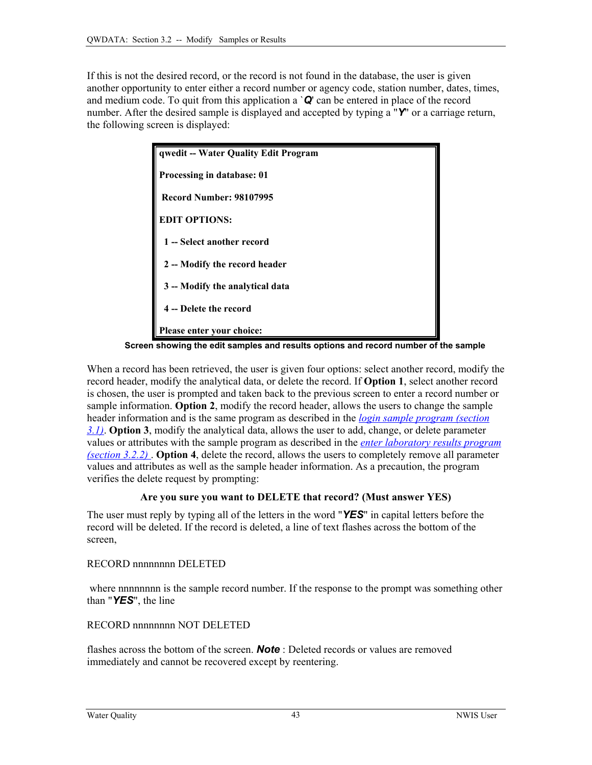<span id="page-13-0"></span>If this is not the desired record, or the record is not found in the database, the user is given another opportunity to enter either a record number or agency code, station number, dates, times, and medium code. To quit from this application a `*Q*' can be entered in place of the record number. After the desired sample is displayed and accepted by typing a "*Y*" or a carriage return, the following screen is displayed:



 **Screen showing the edit samples and results options and record number of the sample** 

When a record has been retrieved, the user is given four options: select another record, modify the record header, modify the analytical data, or delete the record. If **Option 1**, select another record is chosen, the user is prompted and taken back to the previous screen to enter a record number or sample information. **Option 2**, modify the record header, allows the users to change the sample header information and is the same program as described in the *[login sample program \(section](#page-0-0)  [3.1\)](#page-0-0)*. **Option 3**, modify the analytical data, allows the user to add, change, or delete parameter values or attributes with the sample program as described in the *[enter laboratory results program](#page-9-0)  [\(section 3.2.2\)](#page-9-0)* . **Option 4**, delete the record, allows the users to completely remove all parameter values and attributes as well as the sample header information. As a precaution, the program verifies the delete request by prompting:

#### **Are you sure you want to DELETE that record? (Must answer YES)**

The user must reply by typing all of the letters in the word "*YES*" in capital letters before the record will be deleted. If the record is deleted, a line of text flashes across the bottom of the screen,

RECORD nnnnnnnn DELETED

where nnnnnnnn is the sample record number. If the response to the prompt was something other than "*YES*", the line

RECORD nnnnnnnn NOT DELETED

flashes across the bottom of the screen. *Note* : Deleted records or values are removed immediately and cannot be recovered except by reentering.